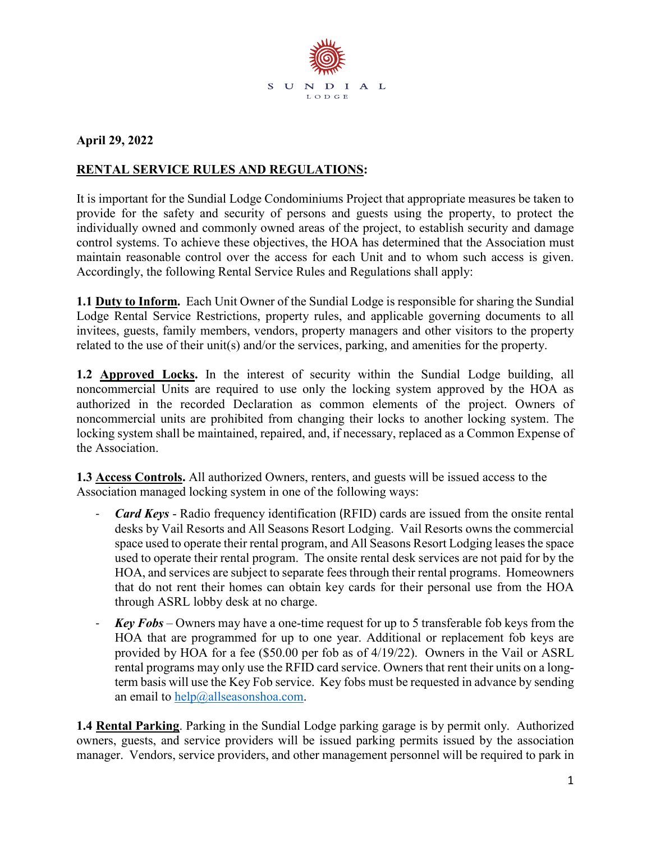

## **April 29, 2022**

## **RENTAL SERVICE RULES AND REGULATIONS:**

It is important for the Sundial Lodge Condominiums Project that appropriate measures be taken to provide for the safety and security of persons and guests using the property, to protect the individually owned and commonly owned areas of the project, to establish security and damage control systems. To achieve these objectives, the HOA has determined that the Association must maintain reasonable control over the access for each Unit and to whom such access is given. Accordingly, the following Rental Service Rules and Regulations shall apply:

**1.1 Duty to Inform.** Each Unit Owner of the Sundial Lodge is responsible for sharing the Sundial Lodge Rental Service Restrictions, property rules, and applicable governing documents to all invitees, guests, family members, vendors, property managers and other visitors to the property related to the use of their unit(s) and/or the services, parking, and amenities for the property.

**1.2 Approved Locks.** In the interest of security within the Sundial Lodge building, all noncommercial Units are required to use only the locking system approved by the HOA as authorized in the recorded Declaration as common elements of the project. Owners of noncommercial units are prohibited from changing their locks to another locking system. The locking system shall be maintained, repaired, and, if necessary, replaced as a Common Expense of the Association.

**1.3 Access Controls.** All authorized Owners, renters, and guests will be issued access to the Association managed locking system in one of the following ways:

- *Card Keys* Radio frequency identification (RFID) cards are issued from the onsite rental desks by Vail Resorts and All Seasons Resort Lodging. Vail Resorts owns the commercial space used to operate their rental program, and All Seasons Resort Lodging leases the space used to operate their rental program. The onsite rental desk services are not paid for by the HOA, and services are subject to separate fees through their rental programs. Homeowners that do not rent their homes can obtain key cards for their personal use from the HOA through ASRL lobby desk at no charge.
- *Key Fobs* Owners may have a one-time request for up to 5 transferable fob keys from the HOA that are programmed for up to one year. Additional or replacement fob keys are provided by HOA for a fee (\$50.00 per fob as of 4/19/22). Owners in the Vail or ASRL rental programs may only use the RFID card service. Owners that rent their units on a longterm basis will use the Key Fob service. Key fobs must be requested in advance by sending an email to  $help@allseasonshoa.com$ .

**1.4 Rental Parking**. Parking in the Sundial Lodge parking garage is by permit only. Authorized owners, guests, and service providers will be issued parking permits issued by the association manager. Vendors, service providers, and other management personnel will be required to park in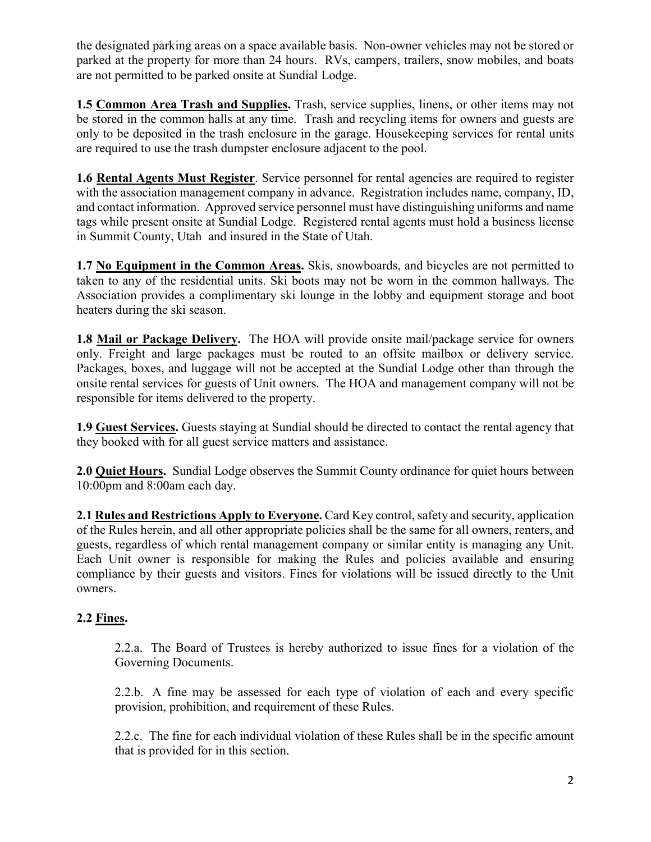the designated parking areas on a space available basis. Non-owner vehicles may not be stored or parked at the property for more than 24 hours. RVs, campers, trailers, snow mobiles, and boats are not permitted to be parked onsite at Sundial Lodge.

**1.5 Common Area Trash and Supplies.** Trash, service supplies, linens, or other items may not be stored in the common halls at any time. Trash and recycling items for owners and guests are only to be deposited in the trash enclosure in the garage. Housekeeping services for rental units are required to use the trash dumpster enclosure adjacent to the pool.

**1.6 Rental Agents Must Register**. Service personnel for rental agencies are required to register with the association management company in advance. Registration includes name, company, ID, and contact information. Approved service personnel must have distinguishing uniforms and name tags while present onsite at Sundial Lodge. Registered rental agents must hold a business license in Summit County, Utah and insured in the State of Utah.

**1.7 No Equipment in the Common Areas.** Skis, snowboards, and bicycles are not permitted to taken to any of the residential units. Ski boots may not be worn in the common hallways. The Association provides a complimentary ski lounge in the lobby and equipment storage and boot heaters during the ski season.

**1.8 Mail or Package Delivery.** The HOA will provide onsite mail/package service for owners only. Freight and large packages must be routed to an offsite mailbox or delivery service. Packages, boxes, and luggage will not be accepted at the Sundial Lodge other than through the onsite rental services for guests of Unit owners. The HOA and management company will not be responsible for items delivered to the property.

**1.9 Guest Services.** Guests staying at Sundial should be directed to contact the rental agency that they booked with for all guest service matters and assistance.

**2.0 Quiet Hours.** Sundial Lodge observes the Summit County ordinance for quiet hours between 10:00pm and 8:00am each day.

**2.1 Rules and Restrictions Apply to Everyone.** Card Key control, safety and security, application of the Rules herein, and all other appropriate policies shall be the same for all owners, renters, and guests, regardless of which rental management company or similar entity is managing any Unit. Each Unit owner is responsible for making the Rules and policies available and ensuring compliance by their guests and visitors. Fines for violations will be issued directly to the Unit owners.

## **2.2 Fines.**

2.2.a. The Board of Trustees is hereby authorized to issue fines for a violation of the Governing Documents.

2.2.b. A fine may be assessed for each type of violation of each and every specific provision, prohibition, and requirement of these Rules.

2.2.c. The fine for each individual violation of these Rules shall be in the specific amount that is provided for in this section.